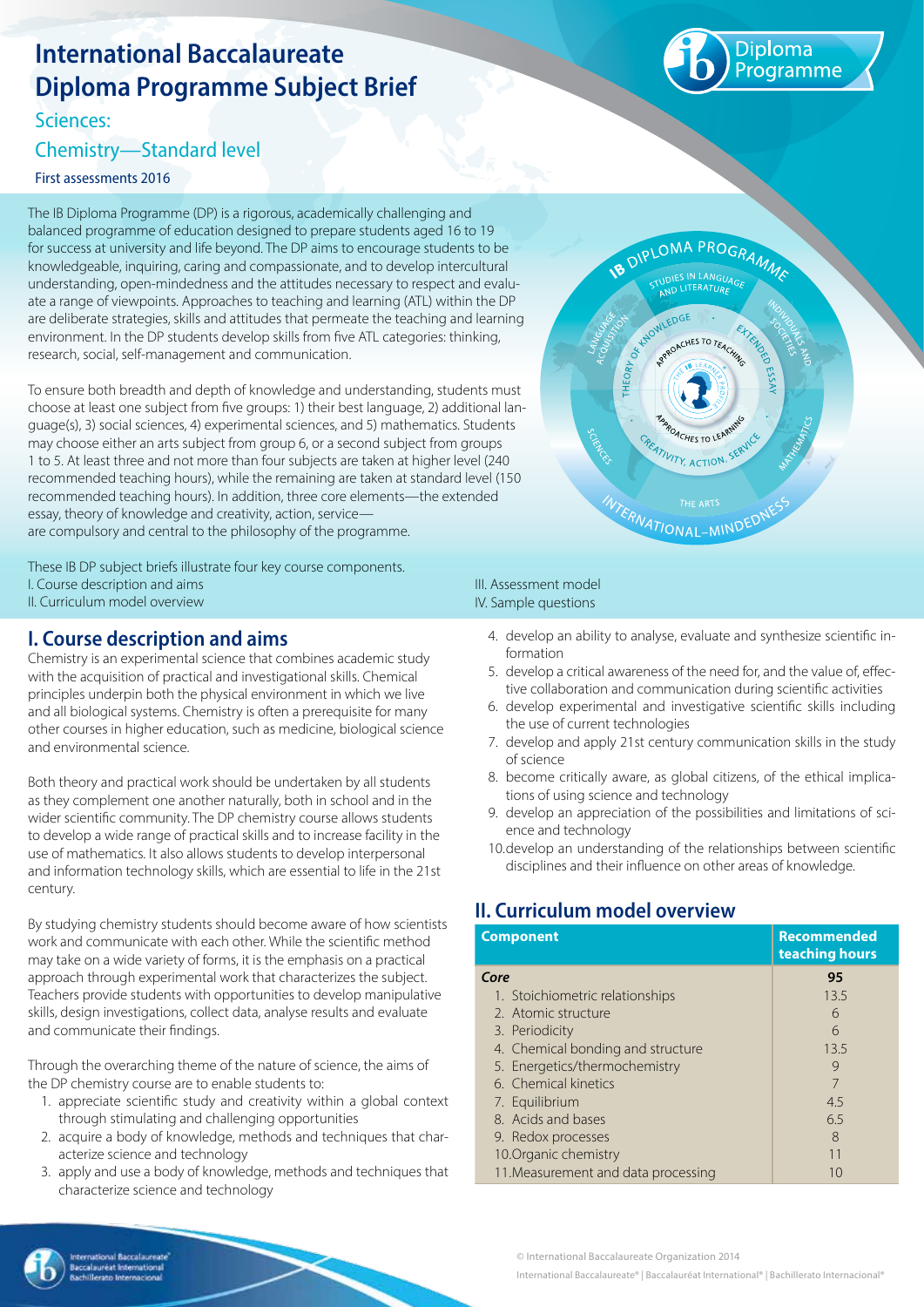# **International Baccalaureate Diploma Programme Subject Brief**

Sciences:

# Chemistry—Standard level

First assessments 2016

The IB Diploma Programme (DP) is a rigorous, academically challenging and balanced programme of education designed to prepare students aged 16 to 19 for success at university and life beyond. The DP aims to encourage students to be knowledgeable, inquiring, caring and compassionate, and to develop intercultural understanding, open-mindedness and the attitudes necessary to respect and evaluate a range of viewpoints. Approaches to teaching and learning (ATL) within the DP are deliberate strategies, skills and attitudes that permeate the teaching and learning environment. In the DP students develop skills from five ATL categories: thinking, research, social, self-management and communication.

To ensure both breadth and depth of knowledge and understanding, students must choose at least one subject from five groups: 1) their best language, 2) additional language(s), 3) social sciences, 4) experimental sciences, and 5) mathematics. Students may choose either an arts subject from group 6, or a second subject from groups 1 to 5. At least three and not more than four subjects are taken at higher level (240 recommended teaching hours), while the remaining are taken at standard level (150 recommended teaching hours). In addition, three core elements—the extended essay, theory of knowledge and creativity, action, service are compulsory and central to the philosophy of the programme.

These IB DP subject briefs illustrate four key course components. I. Course description and aims II. Curriculum model overview

# **I. Course description and aims**

Chemistry is an experimental science that combines academic study with the acquisition of practical and investigational skills. Chemical principles underpin both the physical environment in which we live and all biological systems. Chemistry is often a prerequisite for many other courses in higher education, such as medicine, biological science and environmental science.

Both theory and practical work should be undertaken by all students as they complement one another naturally, both in school and in the wider scientific community. The DP chemistry course allows students to develop a wide range of practical skills and to increase facility in the use of mathematics. It also allows students to develop interpersonal and information technology skills, which are essential to life in the 21st century.

By studying chemistry students should become aware of how scientists work and communicate with each other. While the scientific method may take on a wide variety of forms, it is the emphasis on a practical approach through experimental work that characterizes the subject. Teachers provide students with opportunities to develop manipulative skills, design investigations, collect data, analyse results and evaluate and communicate their findings.

Through the overarching theme of the nature of science, the aims of the DP chemistry course are to enable students to:

- 1. appreciate scientific study and creativity within a global context through stimulating and challenging opportunities
- 2. acquire a body of knowledge, methods and techniques that characterize science and technology
- 3. apply and use a body of knowledge, methods and techniques that characterize science and technology

#### III. Assessment model IV. Sample questions

- 4. develop an ability to analyse, evaluate and synthesize scientific information
- 5. develop a critical awareness of the need for, and the value of, effective collaboration and communication during scientific activities
- 6. develop experimental and investigative scientific skills including the use of current technologies
- 7. develop and apply 21st century communication skills in the study of science
- 8. become critically aware, as global citizens, of the ethical implications of using science and technology
- 9. develop an appreciation of the possibilities and limitations of science and technology
- 10.develop an understanding of the relationships between scientific disciplines and their influence on other areas of knowledge.

# **II. Curriculum model overview**

| <b>Component</b>                    | <b>Recommended</b><br>teaching hours |  |
|-------------------------------------|--------------------------------------|--|
| Core                                | 95                                   |  |
| 1. Stoichiometric relationships     | 13.5                                 |  |
| 2. Atomic structure                 | 6                                    |  |
| 3. Periodicity                      | 6                                    |  |
| 4. Chemical bonding and structure   | 13.5                                 |  |
| 5. Energetics/thermochemistry       | 9                                    |  |
| 6. Chemical kinetics                |                                      |  |
| 7. Equilibrium                      | 4.5                                  |  |
| 8. Acids and bases                  | 6.5                                  |  |
| 9. Redox processes                  | 8                                    |  |
| 10. Organic chemistry               | 11                                   |  |
| 11. Measurement and data processing | 10                                   |  |

© International Baccalaureate Organization 2014